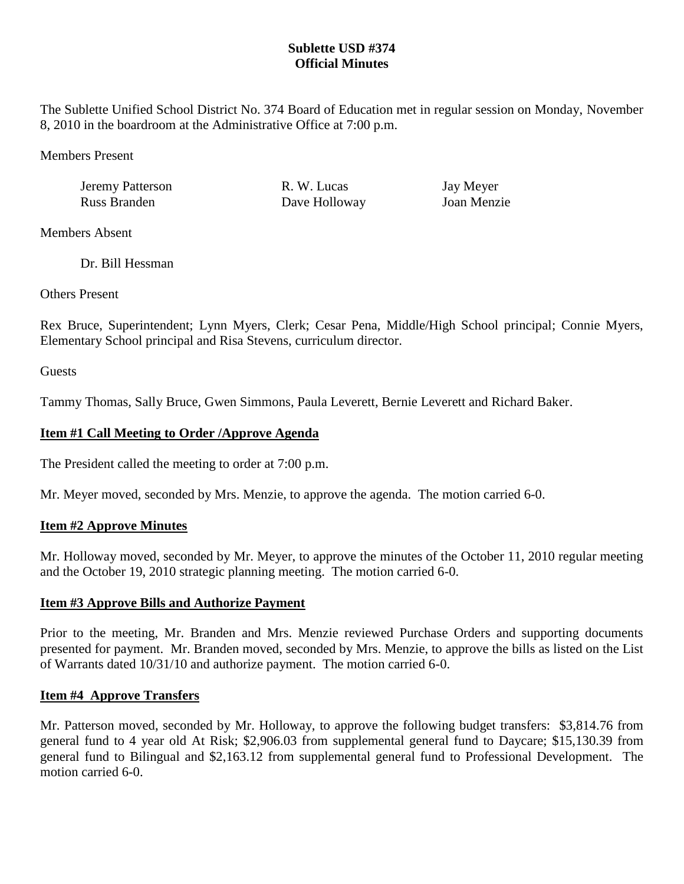## **Sublette USD #374 Official Minutes**

The Sublette Unified School District No. 374 Board of Education met in regular session on Monday, November 8, 2010 in the boardroom at the Administrative Office at 7:00 p.m.

Members Present

| Jeremy Patterson | R. W. Lucas   | Jay Meyer   |
|------------------|---------------|-------------|
| Russ Branden     | Dave Holloway | Joan Menzie |

Members Absent

Dr. Bill Hessman

Others Present

Rex Bruce, Superintendent; Lynn Myers, Clerk; Cesar Pena, Middle/High School principal; Connie Myers, Elementary School principal and Risa Stevens, curriculum director.

**Guests** 

Tammy Thomas, Sally Bruce, Gwen Simmons, Paula Leverett, Bernie Leverett and Richard Baker.

# **Item #1 Call Meeting to Order /Approve Agenda**

The President called the meeting to order at 7:00 p.m.

Mr. Meyer moved, seconded by Mrs. Menzie, to approve the agenda. The motion carried 6-0.

## **Item #2 Approve Minutes**

Mr. Holloway moved, seconded by Mr. Meyer, to approve the minutes of the October 11, 2010 regular meeting and the October 19, 2010 strategic planning meeting. The motion carried 6-0.

## **Item #3 Approve Bills and Authorize Payment**

Prior to the meeting, Mr. Branden and Mrs. Menzie reviewed Purchase Orders and supporting documents presented for payment. Mr. Branden moved, seconded by Mrs. Menzie, to approve the bills as listed on the List of Warrants dated 10/31/10 and authorize payment. The motion carried 6-0.

# **Item #4 Approve Transfers**

Mr. Patterson moved, seconded by Mr. Holloway, to approve the following budget transfers: \$3,814.76 from general fund to 4 year old At Risk; \$2,906.03 from supplemental general fund to Daycare; \$15,130.39 from general fund to Bilingual and \$2,163.12 from supplemental general fund to Professional Development. The motion carried 6-0.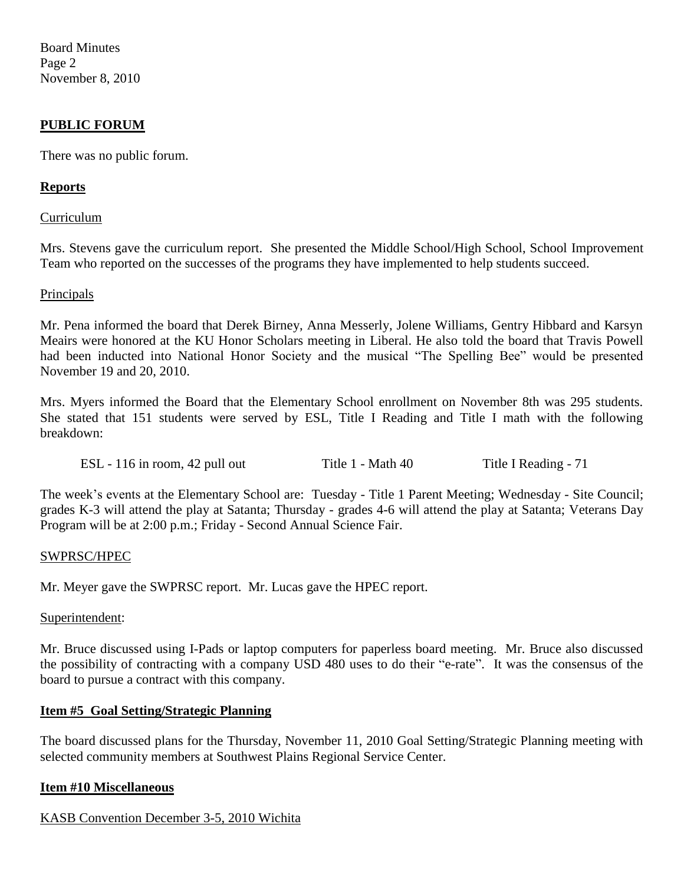Board Minutes Page 2 November 8, 2010

## **PUBLIC FORUM**

There was no public forum.

### **Reports**

#### Curriculum

Mrs. Stevens gave the curriculum report. She presented the Middle School/High School, School Improvement Team who reported on the successes of the programs they have implemented to help students succeed.

#### **Principals**

Mr. Pena informed the board that Derek Birney, Anna Messerly, Jolene Williams, Gentry Hibbard and Karsyn Meairs were honored at the KU Honor Scholars meeting in Liberal. He also told the board that Travis Powell had been inducted into National Honor Society and the musical "The Spelling Bee" would be presented November 19 and 20, 2010.

Mrs. Myers informed the Board that the Elementary School enrollment on November 8th was 295 students. She stated that 151 students were served by ESL, Title I Reading and Title I math with the following breakdown:

ESL - 116 in room, 42 pull out Title 1 - Math 40 Title I Reading - 71

The week's events at the Elementary School are: Tuesday - Title 1 Parent Meeting; Wednesday - Site Council; grades K-3 will attend the play at Satanta; Thursday - grades 4-6 will attend the play at Satanta; Veterans Day Program will be at 2:00 p.m.; Friday - Second Annual Science Fair.

#### SWPRSC/HPEC

Mr. Meyer gave the SWPRSC report. Mr. Lucas gave the HPEC report.

Superintendent:

Mr. Bruce discussed using I-Pads or laptop computers for paperless board meeting. Mr. Bruce also discussed the possibility of contracting with a company USD 480 uses to do their "e-rate". It was the consensus of the board to pursue a contract with this company.

### **Item #5 Goal Setting/Strategic Planning**

The board discussed plans for the Thursday, November 11, 2010 Goal Setting/Strategic Planning meeting with selected community members at Southwest Plains Regional Service Center.

#### **Item #10 Miscellaneous**

### KASB Convention December 3-5, 2010 Wichita